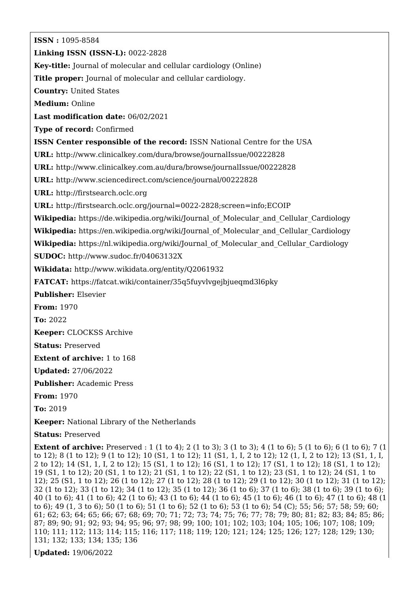**ISSN :** 1095-8584 **Linking ISSN (ISSN-L):** 0022-2828 **Key-title:** Journal of molecular and cellular cardiology (Online) **Title proper:** Journal of molecular and cellular cardiology. **Country:** United States **Medium:** Online **Last modification date:** 06/02/2021 **Type of record:** Confirmed **ISSN Center responsible of the record:** ISSN National Centre for the USA **URL:** <http://www.clinicalkey.com/dura/browse/journalIssue/00222828> **URL:** <http://www.clinicalkey.com.au/dura/browse/journalIssue/00222828> **URL:** <http://www.sciencedirect.com/science/journal/00222828> **URL:** <http://firstsearch.oclc.org> **URL:** <http://firstsearch.oclc.org/journal=0022-2828;screen=info;ECOIP> **Wikipedia:** [https://de.wikipedia.org/wiki/Journal\\_of\\_Molecular\\_and\\_Cellular\\_Cardiology](https://de.wikipedia.org/wiki/Journal_of_Molecular_and_Cellular_Cardiology) **Wikipedia:** [https://en.wikipedia.org/wiki/Journal\\_of\\_Molecular\\_and\\_Cellular\\_Cardiology](https://en.wikipedia.org/wiki/Journal_of_Molecular_and_Cellular_Cardiology) **Wikipedia:** [https://nl.wikipedia.org/wiki/Journal\\_of\\_Molecular\\_and\\_Cellular\\_Cardiology](https://nl.wikipedia.org/wiki/Journal_of_Molecular_and_Cellular_Cardiology) **SUDOC:** <http://www.sudoc.fr/04063132X> **Wikidata:** <http://www.wikidata.org/entity/Q2061932> **FATCAT:** <https://fatcat.wiki/container/35q5fuyvlvgejbjueqmd3l6pky> **Publisher:** Elsevier **From:** 1970 **To:** 2022 **Keeper:** CLOCKSS Archive **Status:** Preserved **Extent of archive:** 1 to 168 **Updated:** 27/06/2022 **Publisher:** Academic Press **From:** 1970 **To:** 2019 **Keeper:** National Library of the Netherlands **Status:** Preserved **Extent of archive:** Preserved : 1 (1 to 4); 2 (1 to 3); 3 (1 to 3); 4 (1 to 6); 5 (1 to 6); 6 (1 to 6); 7 (1 to 12); 8 (1 to 12); 9 (1 to 12); 10 (S1, 1 to 12); 11 (S1, 1, I, 2 to 12); 12 (1, I, 2 to 12); 13 (S1, 1, I, 2 to 12); 14 (S1, 1, I, 2 to 12); 15 (S1, 1 to 12); 16 (S1, 1 to 12); 17 (S1, 1 to 12); 18 (S1, 1 to 12); 19 (S1, 1 to 12); 20 (S1, 1 to 12); 21 (S1, 1 to 12); 22 (S1, 1 to 12); 23 (S1, 1 to 12); 24 (S1, 1 to 12); 25 (S1, 1 to 12); 26 (1 to 12); 27 (1 to 12); 28 (1 to 12); 29 (1 to 12); 30 (1 to 12); 31 (1 to 12); 32 (1 to 12); 33 (1 to 12); 34 (1 to 12); 35 (1 to 12); 36 (1 to 6); 37 (1 to 6); 38 (1 to 6); 39 (1 to 6);

40 (1 to 6); 41 (1 to 6); 42 (1 to 6); 43 (1 to 6); 44 (1 to 6); 45 (1 to 6); 46 (1 to 6); 47 (1 to 6); 48 (1 to 6); 49 (1, 3 to 6); 50 (1 to 6); 51 (1 to 6); 52 (1 to 6); 53 (1 to 6); 54 (C); 55; 56; 57; 58; 59; 60; 61; 62; 63; 64; 65; 66; 67; 68; 69; 70; 71; 72; 73; 74; 75; 76; 77; 78; 79; 80; 81; 82; 83; 84; 85; 86; 87; 89; 90; 91; 92; 93; 94; 95; 96; 97; 98; 99; 100; 101; 102; 103; 104; 105; 106; 107; 108; 109; 110; 111; 112; 113; 114; 115; 116; 117; 118; 119; 120; 121; 124; 125; 126; 127; 128; 129; 130; 131; 132; 133; 134; 135; 136

**Updated:** 19/06/2022